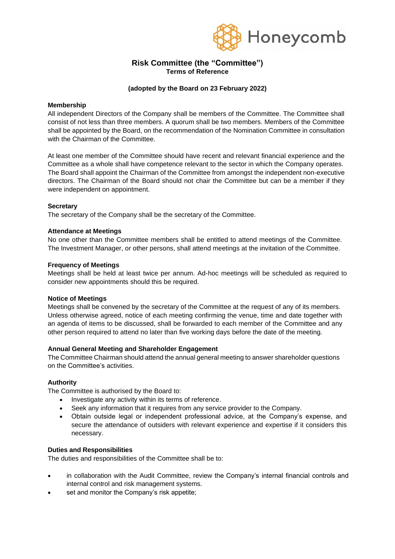

# **Risk Committee (the "Committee") Terms of Reference**

## **(adopted by the Board on 23 February 2022)**

## **Membership**

All independent Directors of the Company shall be members of the Committee. The Committee shall consist of not less than three members. A quorum shall be two members. Members of the Committee shall be appointed by the Board, on the recommendation of the Nomination Committee in consultation with the Chairman of the Committee.

At least one member of the Committee should have recent and relevant financial experience and the Committee as a whole shall have competence relevant to the sector in which the Company operates. The Board shall appoint the Chairman of the Committee from amongst the independent non-executive directors. The Chairman of the Board should not chair the Committee but can be a member if they were independent on appointment.

## **Secretary**

The secretary of the Company shall be the secretary of the Committee.

## **Attendance at Meetings**

No one other than the Committee members shall be entitled to attend meetings of the Committee. The Investment Manager, or other persons, shall attend meetings at the invitation of the Committee.

## **Frequency of Meetings**

Meetings shall be held at least twice per annum. Ad-hoc meetings will be scheduled as required to consider new appointments should this be required.

#### **Notice of Meetings**

Meetings shall be convened by the secretary of the Committee at the request of any of its members. Unless otherwise agreed, notice of each meeting confirming the venue, time and date together with an agenda of items to be discussed, shall be forwarded to each member of the Committee and any other person required to attend no later than five working days before the date of the meeting.

#### **Annual General Meeting and Shareholder Engagement**

The Committee Chairman should attend the annual general meeting to answer shareholder questions on the Committee's activities.

#### **Authority**

The Committee is authorised by the Board to:

- Investigate any activity within its terms of reference.
- Seek any information that it requires from any service provider to the Company.
- Obtain outside legal or independent professional advice, at the Company's expense, and secure the attendance of outsiders with relevant experience and expertise if it considers this necessary.

#### **Duties and Responsibilities**

The duties and responsibilities of the Committee shall be to:

- in collaboration with the Audit Committee, review the Company's internal financial controls and internal control and risk management systems.
- set and monitor the Company's risk appetite;